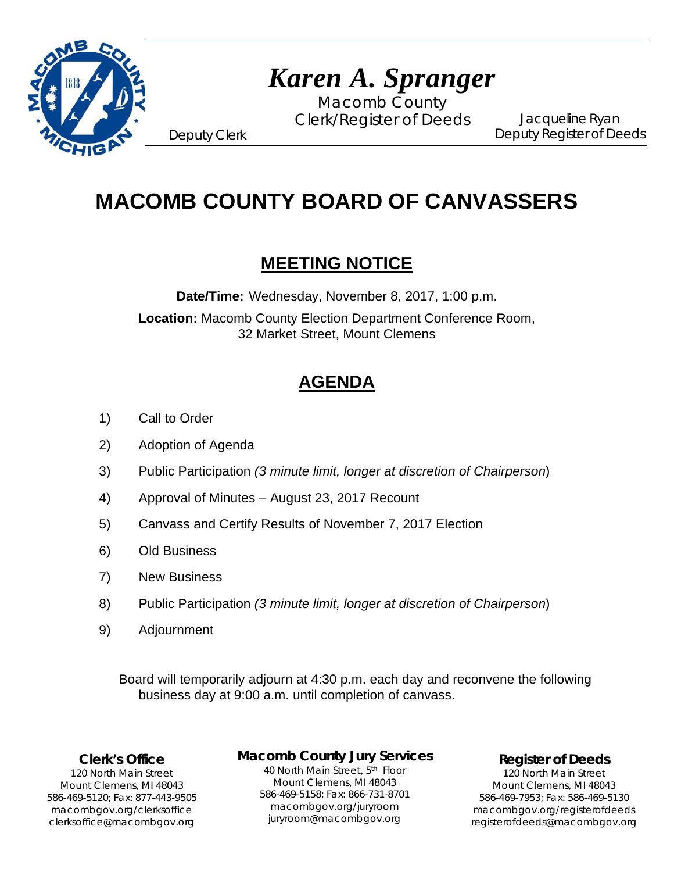

# *Karen A. Spranger*

Macomb County Clerk/Register of Deeds

Jacqueline Ryan Deputy Register of Deeds

Deputy Clerk

# **MACOMB COUNTY BOARD OF CANVASSERS**

# **MEETING NOTICE**

**Date/Time:** Wednesday, November 8, 2017, 1:00 p.m. **Location:** Macomb County Election Department Conference Room, 32 Market Street, Mount Clemens

# **AGENDA**

- 1) Call to Order
- 2) Adoption of Agenda
- 3) Public Participation *(3 minute limit, longer at discretion of Chairperson*)
- 4) Approval of Minutes August 23, 2017 Recount
- 5) Canvass and Certify Results of November 7, 2017 Election
- 6) Old Business
- 7) New Business
- 8) Public Participation *(3 minute limit, longer at discretion of Chairperson*)
- 9) Adjournment

 Board will temporarily adjourn at 4:30 p.m. each day and reconvene the following business day at 9:00 a.m. until completion of canvass.

## **Clerk's Office**

1`40 clerksoffice@macombgov.org 120 North Main Street Mount Clemens, MI 48043 586-469-5120; Fax: 877-443-9505 macombgov.org/clerksoffice

## **Macomb County Jury Services**

40 North Main Street, 5th Floor Mount Clemens, MI 48043 586-469-5158; Fax: 866-731-8701 macombgov.org/juryroom juryroom@macombgov.org

**Register of Deeds**

120 North Main Street Mount Clemens, MI 48043 586-469-7953; Fax: 586-469-5130 macombgov.org/registerofdeeds registerofdeeds@macombgov.org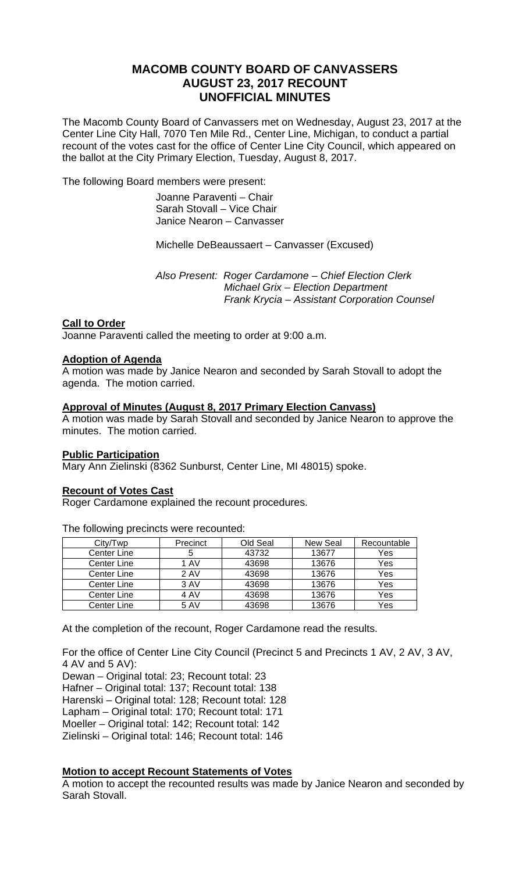# **MACOMB COUNTY BOARD OF CANVASSERS AUGUST 23, 2017 RECOUNT UNOFFICIAL MINUTES**

The Macomb County Board of Canvassers met on Wednesday, August 23, 2017 at the Center Line City Hall, 7070 Ten Mile Rd., Center Line, Michigan, to conduct a partial recount of the votes cast for the office of Center Line City Council, which appeared on the ballot at the City Primary Election, Tuesday, August 8, 2017.

The following Board members were present:

 Joanne Paraventi – Chair Sarah Stovall – Vice Chair Janice Nearon – Canvasser

Michelle DeBeaussaert – Canvasser (Excused)

 *Also Present: Roger Cardamone – Chief Election Clerk Michael Grix – Election Department Frank Krycia – Assistant Corporation Counsel* 

#### **Call to Order**

Joanne Paraventi called the meeting to order at 9:00 a.m.

#### **Adoption of Agenda**

A motion was made by Janice Nearon and seconded by Sarah Stovall to adopt the agenda. The motion carried.

#### **Approval of Minutes (August 8, 2017 Primary Election Canvass)**

A motion was made by Sarah Stovall and seconded by Janice Nearon to approve the minutes. The motion carried.

#### **Public Participation**

Mary Ann Zielinski (8362 Sunburst, Center Line, MI 48015) spoke.

#### **Recount of Votes Cast**

Roger Cardamone explained the recount procedures.

City/Twp Precinct Old Seal New Seal Recountable<br>
Senter Line 5 43732 13677 Yes Center Line 1 5 43732 13677 Yes Center Line 1 AV 43698 13676 Yes<br>
Center Line 2 AV 43698 13676 Yes Center Line | 2 AV | 43698 | 13676 Center Line 3 AV | 43698 | 13676 | Yes Center Line | 4 AV | 43698 | 13676 | Yes Center Line | 5 AV | 43698 | 13676 | Yes

The following precincts were recounted:

At the completion of the recount, Roger Cardamone read the results.

For the office of Center Line City Council (Precinct 5 and Precincts 1 AV, 2 AV, 3 AV, 4 AV and 5 AV):

Dewan – Original total: 23; Recount total: 23 Hafner – Original total: 137; Recount total: 138 Harenski – Original total: 128; Recount total: 128 Lapham – Original total: 170; Recount total: 171

Moeller – Original total: 142; Recount total: 142

Zielinski – Original total: 146; Recount total: 146

## **Motion to accept Recount Statements of Votes**

A motion to accept the recounted results was made by Janice Nearon and seconded by Sarah Stovall.